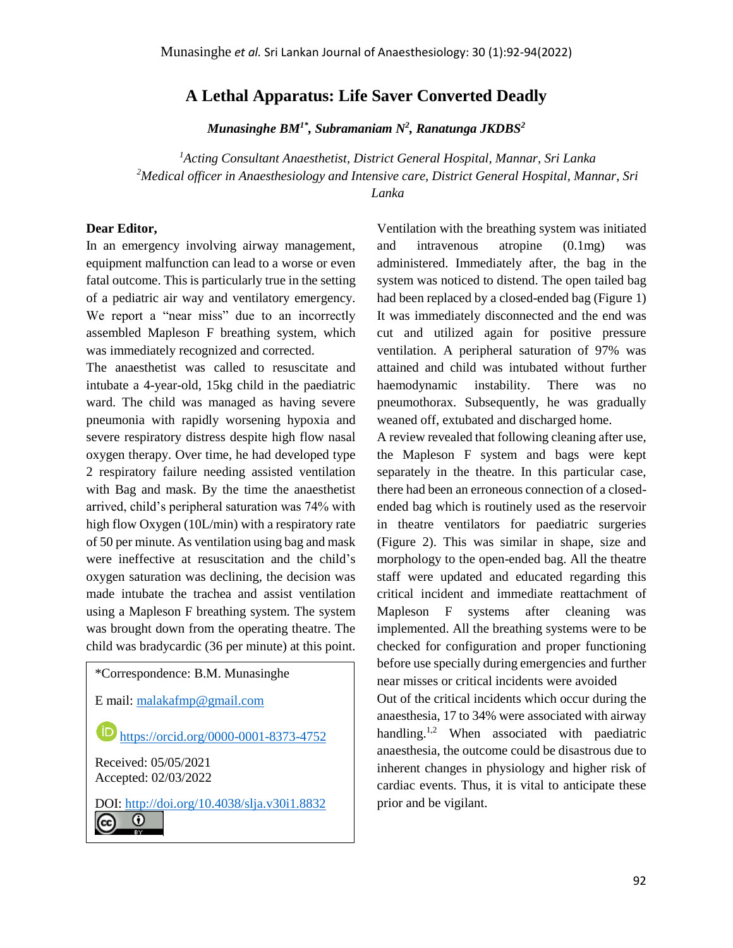## **A Lethal Apparatus: Life Saver Converted Deadly**

*Munasinghe BM1\*, Subramaniam N<sup>2</sup> , Ranatunga JKDBS<sup>2</sup>*

*<sup>1</sup>Acting Consultant Anaesthetist, District General Hospital, Mannar, Sri Lanka <sup>2</sup>Medical officer in Anaesthesiology and Intensive care, District General Hospital, Mannar, Sri Lanka*

## **Dear Editor,**

In an emergency involving airway management, equipment malfunction can lead to a worse or even fatal outcome. This is particularly true in the setting of a pediatric air way and ventilatory emergency. We report a "near miss" due to an incorrectly assembled Mapleson F breathing system, which was immediately recognized and corrected.

The anaesthetist was called to resuscitate and intubate a 4-year-old, 15kg child in the paediatric ward. The child was managed as having severe pneumonia with rapidly worsening hypoxia and severe respiratory distress despite high flow nasal oxygen therapy. Over time, he had developed type 2 respiratory failure needing assisted ventilation with Bag and mask. By the time the anaesthetist arrived, child's peripheral saturation was 74% with high flow Oxygen (10L/min) with a respiratory rate of 50 per minute. As ventilation using bag and mask were ineffective at resuscitation and the child's oxygen saturation was declining, the decision was made intubate the trachea and assist ventilation using a Mapleson F breathing system. The system was brought down from the operating theatre. The child was bradycardic (36 per minute) at this point.



Ventilation with the breathing system was initiated and intravenous atropine (0.1mg) was administered. Immediately after, the bag in the system was noticed to distend. The open tailed bag had been replaced by a closed-ended bag (Figure 1) It was immediately disconnected and the end was cut and utilized again for positive pressure ventilation. A peripheral saturation of 97% was attained and child was intubated without further haemodynamic instability. There was no pneumothorax. Subsequently, he was gradually weaned off, extubated and discharged home.

A review revealed that following cleaning after use, the Mapleson F system and bags were kept separately in the theatre. In this particular case, there had been an erroneous connection of a closedended bag which is routinely used as the reservoir in theatre ventilators for paediatric surgeries (Figure 2). This was similar in shape, size and morphology to the open-ended bag. All the theatre staff were updated and educated regarding this critical incident and immediate reattachment of Mapleson F systems after cleaning was implemented. All the breathing systems were to be checked for configuration and proper functioning before use specially during emergencies and further near misses or critical incidents were avoided

Out of the critical incidents which occur during the anaesthesia, 17 to 34% were associated with airway handling.<sup>1,2</sup> When associated with paediatric anaesthesia, the outcome could be disastrous due to inherent changes in physiology and higher risk of cardiac events. Thus, it is vital to anticipate these prior and be vigilant.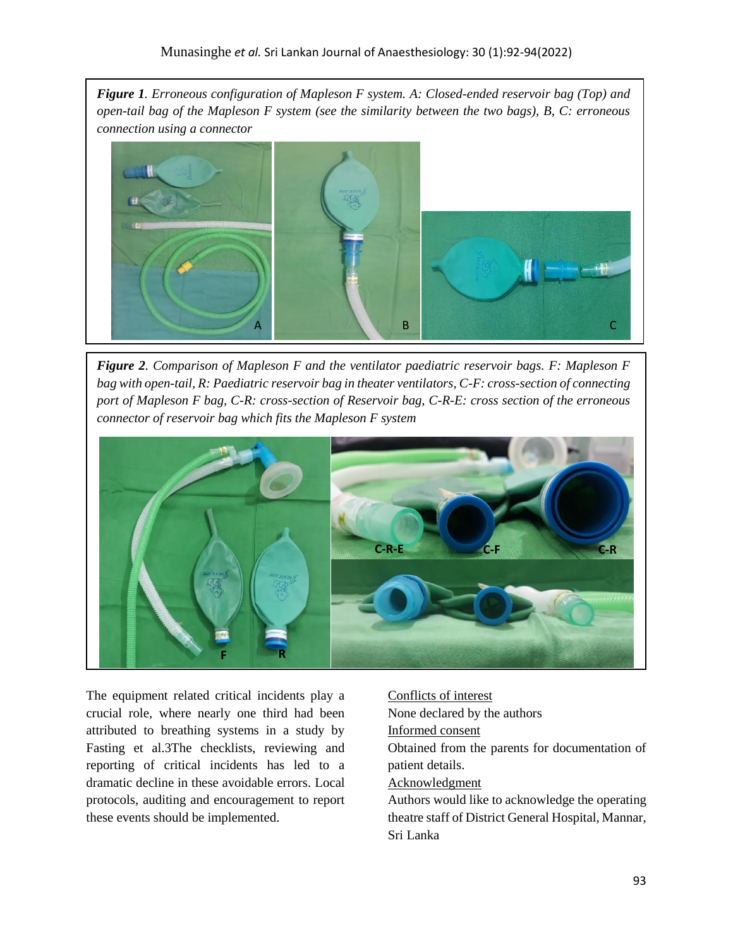*Figure 1. Erroneous configuration of Mapleson F system. A: Closed-ended reservoir bag (Top) and open-tail bag of the Mapleson F system (see the similarity between the two bags), B, C: erroneous connection using a connector*



*Figure 2. Comparison of Mapleson F and the ventilator paediatric reservoir bags. F: Mapleson F bag with open-tail, R: Paediatric reservoir bag in theater ventilators, C-F: cross-section of connecting port of Mapleson F bag, C-R: cross-section of Reservoir bag, C-R-E: cross section of the erroneous connector of reservoir bag which fits the Mapleson F system*



The equipment related critical incidents play a crucial role, where nearly one third had been attributed to breathing systems in a study by Fasting et al.3The checklists, reviewing and reporting of critical incidents has led to a dramatic decline in these avoidable errors. Local protocols, auditing and encouragement to report these events should be implemented.

Conflicts of interest None declared by the authors Informed consent Obtained from the parents for documentation of patient details. Acknowledgment Authors would like to acknowledge the operating

theatre staff of District General Hospital, Mannar, Sri Lanka